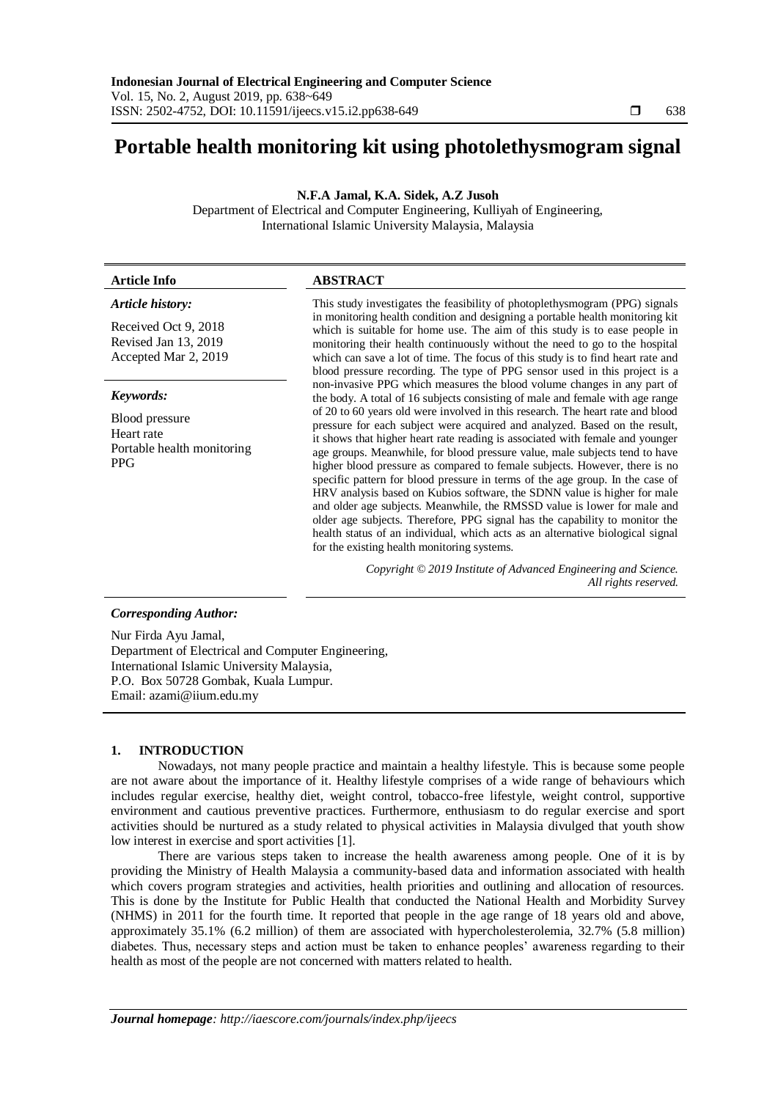# **Portable health monitoring kit using photolethysmogram signal**

**N.F.A Jamal, K.A. Sidek, A.Z Jusoh**

Department of Electrical and Computer Engineering, Kulliyah of Engineering, International Islamic University Malaysia, Malaysia

| <b>Article Info</b>                                                      | <b>ABSTRACT</b>                                                                                                                                                                                                                                                                                                                                                                                                                                                                                                                                                                                                                                                                                                                                                                                                                                                     |
|--------------------------------------------------------------------------|---------------------------------------------------------------------------------------------------------------------------------------------------------------------------------------------------------------------------------------------------------------------------------------------------------------------------------------------------------------------------------------------------------------------------------------------------------------------------------------------------------------------------------------------------------------------------------------------------------------------------------------------------------------------------------------------------------------------------------------------------------------------------------------------------------------------------------------------------------------------|
| Article history:                                                         | This study investigates the feasibility of photoplethy smogram (PPG) signals                                                                                                                                                                                                                                                                                                                                                                                                                                                                                                                                                                                                                                                                                                                                                                                        |
| Received Oct 9, 2018<br>Revised Jan 13, 2019<br>Accepted Mar 2, 2019     | in monitoring health condition and designing a portable health monitoring kit<br>which is suitable for home use. The aim of this study is to ease people in<br>monitoring their health continuously without the need to go to the hospital<br>which can save a lot of time. The focus of this study is to find heart rate and<br>blood pressure recording. The type of PPG sensor used in this project is a                                                                                                                                                                                                                                                                                                                                                                                                                                                         |
| Keywords:                                                                | non-invasive PPG which measures the blood volume changes in any part of<br>the body. A total of 16 subjects consisting of male and female with age range                                                                                                                                                                                                                                                                                                                                                                                                                                                                                                                                                                                                                                                                                                            |
| Blood pressure<br>Heart rate<br>Portable health monitoring<br><b>PPG</b> | of 20 to 60 years old were involved in this research. The heart rate and blood<br>pressure for each subject were acquired and analyzed. Based on the result,<br>it shows that higher heart rate reading is associated with female and younger<br>age groups. Meanwhile, for blood pressure value, male subjects tend to have<br>higher blood pressure as compared to female subjects. However, there is no<br>specific pattern for blood pressure in terms of the age group. In the case of<br>HRV analysis based on Kubios software, the SDNN value is higher for male<br>and older age subjects. Meanwhile, the RMSSD value is lower for male and<br>older age subjects. Therefore, PPG signal has the capability to monitor the<br>health status of an individual, which acts as an alternative biological signal<br>for the existing health monitoring systems. |
|                                                                          | Copyright © 2019 Institute of Advanced Engineering and Science.<br>All rights reserved.                                                                                                                                                                                                                                                                                                                                                                                                                                                                                                                                                                                                                                                                                                                                                                             |
| <b>Corresponding Author:</b>                                             |                                                                                                                                                                                                                                                                                                                                                                                                                                                                                                                                                                                                                                                                                                                                                                                                                                                                     |
| Nur Firda Ayu Jamal,                                                     |                                                                                                                                                                                                                                                                                                                                                                                                                                                                                                                                                                                                                                                                                                                                                                                                                                                                     |

Department of Electrical and Computer Engineering, International Islamic University Malaysia, P.O. Box 50728 Gombak, Kuala Lumpur. Email: azami@iium.edu.my

# **1. INTRODUCTION**

Nowadays, not many people practice and maintain a healthy lifestyle. This is because some people are not aware about the importance of it. Healthy lifestyle comprises of a wide range of behaviours which includes regular exercise, healthy diet, weight control, tobacco-free lifestyle, weight control, supportive environment and cautious preventive practices. Furthermore, enthusiasm to do regular exercise and sport activities should be nurtured as a study related to physical activities in Malaysia divulged that youth show low interest in exercise and sport activities [1].

There are various steps taken to increase the health awareness among people. One of it is by providing the Ministry of Health Malaysia a community-based data and information associated with health which covers program strategies and activities, health priorities and outlining and allocation of resources. This is done by the Institute for Public Health that conducted the National Health and Morbidity Survey (NHMS) in 2011 for the fourth time. It reported that people in the age range of 18 years old and above, approximately 35.1% (6.2 million) of them are associated with hypercholesterolemia, 32.7% (5.8 million) diabetes. Thus, necessary steps and action must be taken to enhance peoples' awareness regarding to their health as most of the people are not concerned with matters related to health.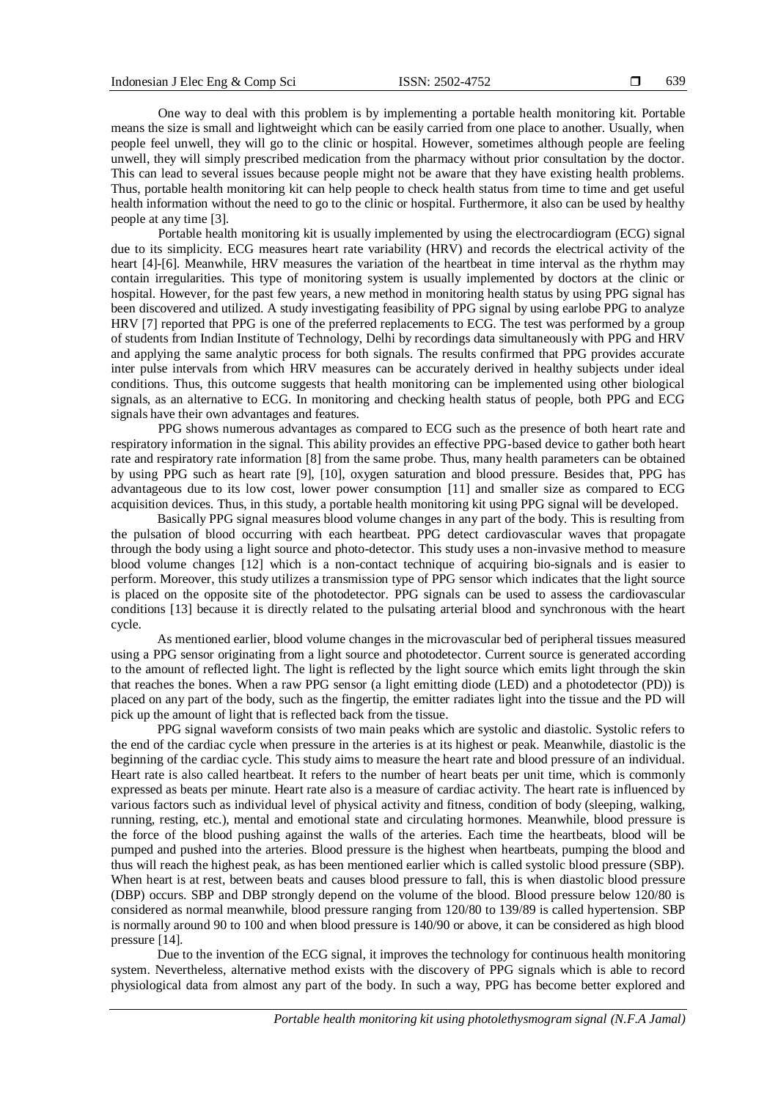One way to deal with this problem is by implementing a portable health monitoring kit. Portable means the size is small and lightweight which can be easily carried from one place to another. Usually, when people feel unwell, they will go to the clinic or hospital. However, sometimes although people are feeling unwell, they will simply prescribed medication from the pharmacy without prior consultation by the doctor. This can lead to several issues because people might not be aware that they have existing health problems. Thus, portable health monitoring kit can help people to check health status from time to time and get useful health information without the need to go to the clinic or hospital. Furthermore, it also can be used by healthy people at any time [3].

Portable health monitoring kit is usually implemented by using the electrocardiogram (ECG) signal due to its simplicity. ECG measures heart rate variability (HRV) and records the electrical activity of the heart [4]-[6]. Meanwhile, HRV measures the variation of the heartbeat in time interval as the rhythm may contain irregularities. This type of monitoring system is usually implemented by doctors at the clinic or hospital. However, for the past few years, a new method in monitoring health status by using PPG signal has been discovered and utilized. A study investigating feasibility of PPG signal by using earlobe PPG to analyze HRV [7] reported that PPG is one of the preferred replacements to ECG. The test was performed by a group of students from Indian Institute of Technology, Delhi by recordings data simultaneously with PPG and HRV and applying the same analytic process for both signals. The results confirmed that PPG provides accurate inter pulse intervals from which HRV measures can be accurately derived in healthy subjects under ideal conditions. Thus, this outcome suggests that health monitoring can be implemented using other biological signals, as an alternative to ECG. In monitoring and checking health status of people, both PPG and ECG signals have their own advantages and features.

PPG shows numerous advantages as compared to ECG such as the presence of both heart rate and respiratory information in the signal. This ability provides an effective PPG-based device to gather both heart rate and respiratory rate information [8] from the same probe. Thus, many health parameters can be obtained by using PPG such as heart rate [9], [10], oxygen saturation and blood pressure. Besides that, PPG has advantageous due to its low cost, lower power consumption [11] and smaller size as compared to ECG acquisition devices. Thus, in this study, a portable health monitoring kit using PPG signal will be developed.

Basically PPG signal measures blood volume changes in any part of the body. This is resulting from the pulsation of blood occurring with each heartbeat. PPG detect cardiovascular waves that propagate through the body using a light source and photo-detector. This study uses a non-invasive method to measure blood volume changes [12] which is a non-contact technique of acquiring bio-signals and is easier to perform. Moreover, this study utilizes a transmission type of PPG sensor which indicates that the light source is placed on the opposite site of the photodetector. PPG signals can be used to assess the cardiovascular conditions [13] because it is directly related to the pulsating arterial blood and synchronous with the heart cycle.

As mentioned earlier, blood volume changes in the microvascular bed of peripheral tissues measured using a PPG sensor originating from a light source and photodetector. Current source is generated according to the amount of reflected light. The light is reflected by the light source which emits light through the skin that reaches the bones. When a raw PPG sensor (a light emitting diode (LED) and a photodetector (PD)) is placed on any part of the body, such as the fingertip, the emitter radiates light into the tissue and the PD will pick up the amount of light that is reflected back from the tissue.

PPG signal waveform consists of two main peaks which are systolic and diastolic. Systolic refers to the end of the cardiac cycle when pressure in the arteries is at its highest or peak. Meanwhile, diastolic is the beginning of the cardiac cycle. This study aims to measure the heart rate and blood pressure of an individual. Heart rate is also called heartbeat. It refers to the number of heart beats per unit time, which is commonly expressed as beats per minute. Heart rate also is a measure of cardiac activity. The heart rate is influenced by various factors such as individual level of physical activity and fitness, condition of body (sleeping, walking, running, resting, etc.), mental and emotional state and circulating hormones. Meanwhile, blood pressure is the force of the blood pushing against the walls of the arteries. Each time the heartbeats, blood will be pumped and pushed into the arteries. Blood pressure is the highest when heartbeats, pumping the blood and thus will reach the highest peak, as has been mentioned earlier which is called systolic blood pressure (SBP). When heart is at rest, between beats and causes blood pressure to fall, this is when diastolic blood pressure (DBP) occurs. SBP and DBP strongly depend on the volume of the blood. Blood pressure below 120/80 is considered as normal meanwhile, blood pressure ranging from 120/80 to 139/89 is called hypertension. SBP is normally around 90 to 100 and when blood pressure is 140/90 or above, it can be considered as high blood pressure [14].

Due to the invention of the ECG signal, it improves the technology for continuous health monitoring system. Nevertheless, alternative method exists with the discovery of PPG signals which is able to record physiological data from almost any part of the body. In such a way, PPG has become better explored and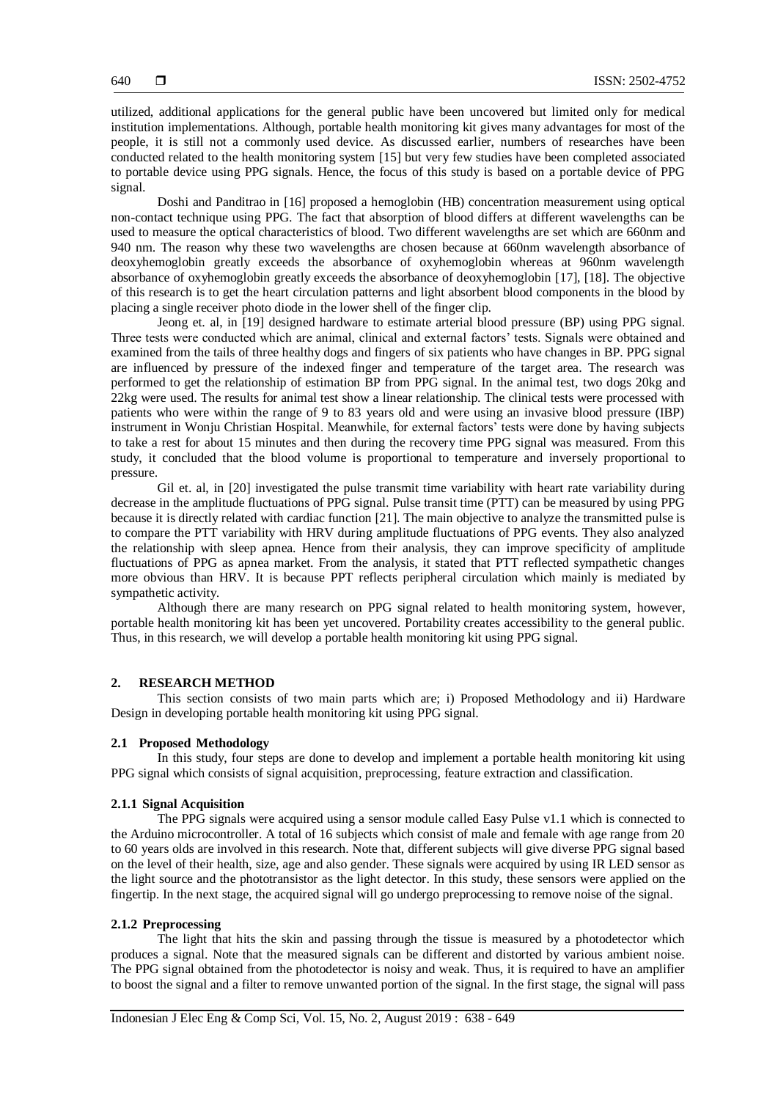utilized, additional applications for the general public have been uncovered but limited only for medical institution implementations. Although, portable health monitoring kit gives many advantages for most of the people, it is still not a commonly used device. As discussed earlier, numbers of researches have been conducted related to the health monitoring system [15] but very few studies have been completed associated to portable device using PPG signals. Hence, the focus of this study is based on a portable device of PPG signal.

Doshi and Panditrao in [16] proposed a hemoglobin (HB) concentration measurement using optical non-contact technique using PPG. The fact that absorption of blood differs at different wavelengths can be used to measure the optical characteristics of blood. Two different wavelengths are set which are 660nm and 940 nm. The reason why these two wavelengths are chosen because at 660nm wavelength absorbance of deoxyhemoglobin greatly exceeds the absorbance of oxyhemoglobin whereas at 960nm wavelength absorbance of oxyhemoglobin greatly exceeds the absorbance of deoxyhemoglobin [17], [18]. The objective of this research is to get the heart circulation patterns and light absorbent blood components in the blood by placing a single receiver photo diode in the lower shell of the finger clip.

Jeong et. al, in [19] designed hardware to estimate arterial blood pressure (BP) using PPG signal. Three tests were conducted which are animal, clinical and external factors' tests. Signals were obtained and examined from the tails of three healthy dogs and fingers of six patients who have changes in BP. PPG signal are influenced by pressure of the indexed finger and temperature of the target area. The research was performed to get the relationship of estimation BP from PPG signal. In the animal test, two dogs 20kg and 22kg were used. The results for animal test show a linear relationship. The clinical tests were processed with patients who were within the range of 9 to 83 years old and were using an invasive blood pressure (IBP) instrument in Wonju Christian Hospital. Meanwhile, for external factors' tests were done by having subjects to take a rest for about 15 minutes and then during the recovery time PPG signal was measured. From this study, it concluded that the blood volume is proportional to temperature and inversely proportional to pressure.

Gil et. al, in [20] investigated the pulse transmit time variability with heart rate variability during decrease in the amplitude fluctuations of PPG signal. Pulse transit time (PTT) can be measured by using PPG because it is directly related with cardiac function [21]. The main objective to analyze the transmitted pulse is to compare the PTT variability with HRV during amplitude fluctuations of PPG events. They also analyzed the relationship with sleep apnea. Hence from their analysis, they can improve specificity of amplitude fluctuations of PPG as apnea market. From the analysis, it stated that PTT reflected sympathetic changes more obvious than HRV. It is because PPT reflects peripheral circulation which mainly is mediated by sympathetic activity.

Although there are many research on PPG signal related to health monitoring system, however, portable health monitoring kit has been yet uncovered. Portability creates accessibility to the general public. Thus, in this research, we will develop a portable health monitoring kit using PPG signal.

## **2. RESEARCH METHOD**

This section consists of two main parts which are; i) Proposed Methodology and ii) Hardware Design in developing portable health monitoring kit using PPG signal.

#### **2.1 Proposed Methodology**

In this study, four steps are done to develop and implement a portable health monitoring kit using PPG signal which consists of signal acquisition, preprocessing, feature extraction and classification.

#### **2.1.1 Signal Acquisition**

The PPG signals were acquired using a sensor module called Easy Pulse v1.1 which is connected to the Arduino microcontroller. A total of 16 subjects which consist of male and female with age range from 20 to 60 years olds are involved in this research. Note that, different subjects will give diverse PPG signal based on the level of their health, size, age and also gender. These signals were acquired by using IR LED sensor as the light source and the phototransistor as the light detector. In this study, these sensors were applied on the fingertip. In the next stage, the acquired signal will go undergo preprocessing to remove noise of the signal.

## **2.1.2 Preprocessing**

The light that hits the skin and passing through the tissue is measured by a photodetector which produces a signal. Note that the measured signals can be different and distorted by various ambient noise. The PPG signal obtained from the photodetector is noisy and weak. Thus, it is required to have an amplifier to boost the signal and a filter to remove unwanted portion of the signal. In the first stage, the signal will pass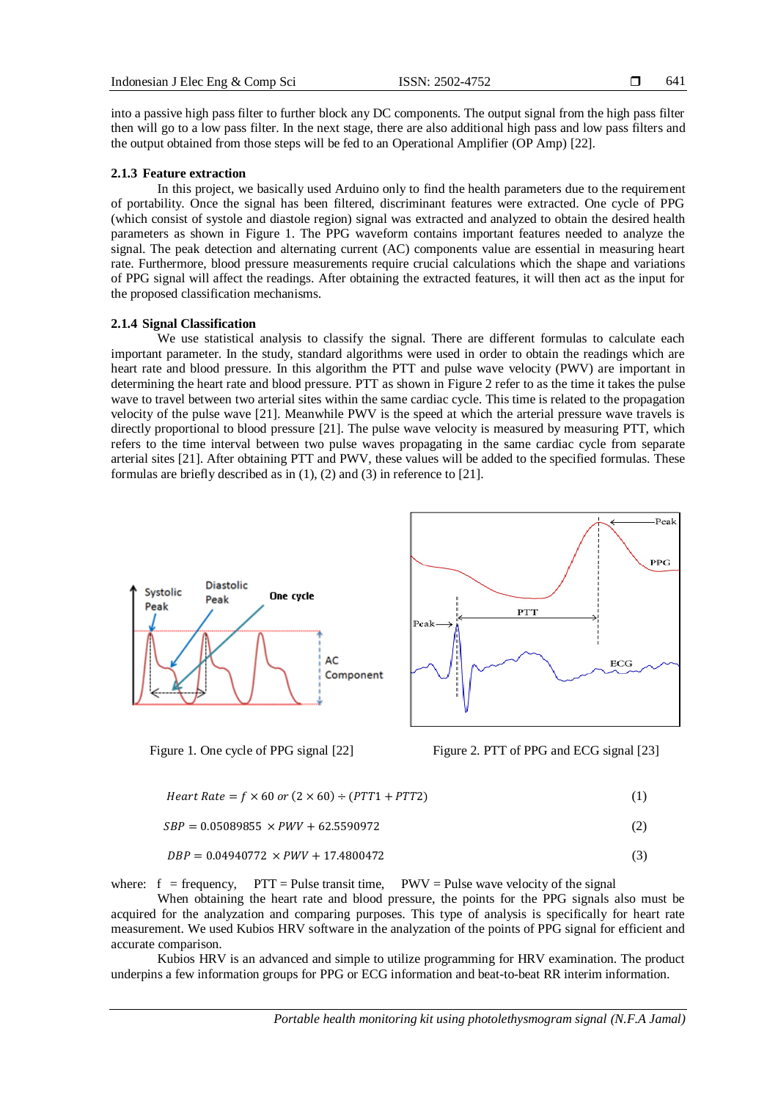641

into a passive high pass filter to further block any DC components. The output signal from the high pass filter then will go to a low pass filter. In the next stage, there are also additional high pass and low pass filters and the output obtained from those steps will be fed to an Operational Amplifier (OP Amp) [22].

### **2.1.3 Feature extraction**

In this project, we basically used Arduino only to find the health parameters due to the requirement of portability. Once the signal has been filtered, discriminant features were extracted. One cycle of PPG (which consist of systole and diastole region) signal was extracted and analyzed to obtain the desired health parameters as shown in Figure 1. The PPG waveform contains important features needed to analyze the signal. The peak detection and alternating current (AC) components value are essential in measuring heart rate. Furthermore, blood pressure measurements require crucial calculations which the shape and variations of PPG signal will affect the readings. After obtaining the extracted features, it will then act as the input for the proposed classification mechanisms.

## **2.1.4 Signal Classification**

We use statistical analysis to classify the signal. There are different formulas to calculate each important parameter. In the study, standard algorithms were used in order to obtain the readings which are heart rate and blood pressure. In this algorithm the PTT and pulse wave velocity (PWV) are important in determining the heart rate and blood pressure. PTT as shown in Figure 2 refer to as the time it takes the pulse wave to travel between two arterial sites within the same cardiac cycle. This time is related to the propagation velocity of the pulse wave [21]. Meanwhile PWV is the speed at which the arterial pressure wave travels is directly proportional to blood pressure [21]. The pulse wave velocity is measured by measuring PTT, which refers to the time interval between two pulse waves propagating in the same cardiac cycle from separate arterial sites [21]. After obtaining PTT and PWV, these values will be added to the specified formulas. These formulas are briefly described as in (1), (2) and (3) in reference to [21].



Figure 1. One cycle of PPG signal [22] Figure 2. PTT of PPG and ECG signal [23]

$$
Heart Rate = f \times 60 \text{ or } (2 \times 60) \div (PTT1 + PTT2)
$$
 (1)

$$
SBP = 0.05089855 \times PWV + 62.5590972 \tag{2}
$$

$$
DBP = 0.04940772 \times PWV + 17.4800472 \tag{3}
$$

where:  $f = \text{frequency}$ ,  $PTT = \text{Pulse transit time}$ ,  $PWV = \text{Pulse wave velocity of the signal}$ 

When obtaining the heart rate and blood pressure, the points for the PPG signals also must be acquired for the analyzation and comparing purposes. This type of analysis is specifically for heart rate measurement. We used Kubios HRV software in the analyzation of the points of PPG signal for efficient and accurate comparison.

Kubios HRV is an advanced and simple to utilize programming for HRV examination. The product underpins a few information groups for PPG or ECG information and beat-to-beat RR interim information.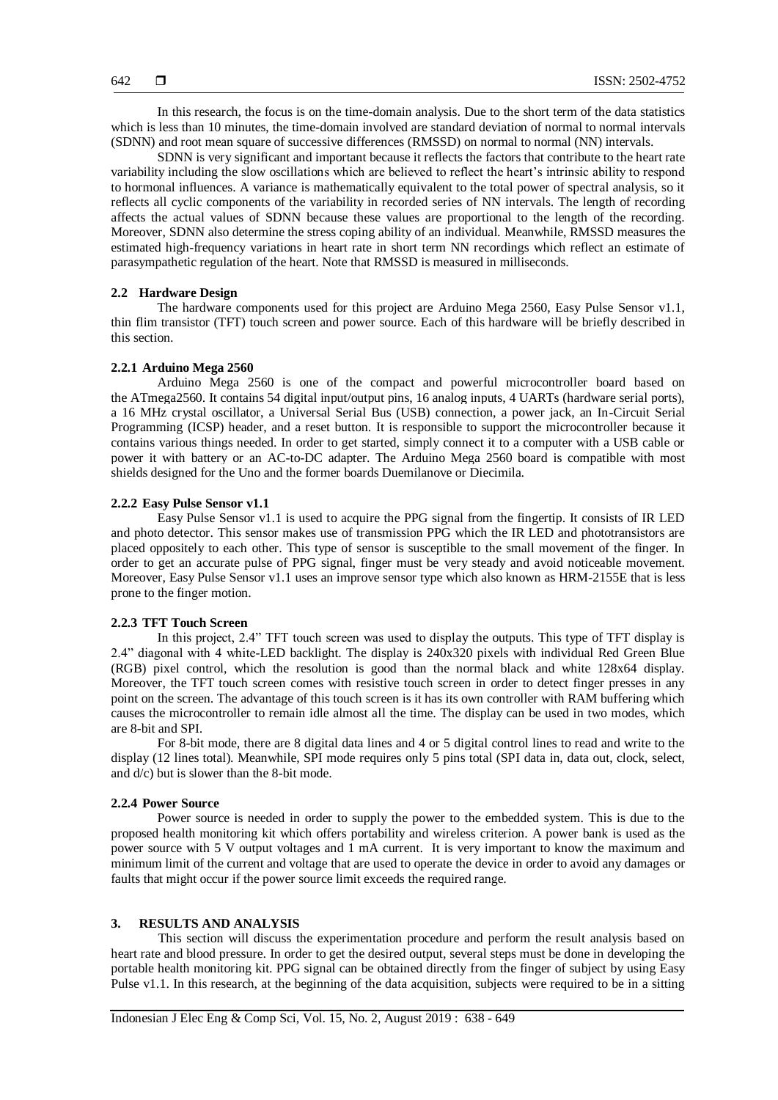In this research, the focus is on the time-domain analysis. Due to the short term of the data statistics which is less than 10 minutes, the time-domain involved are standard deviation of normal to normal intervals (SDNN) and root mean square of successive differences (RMSSD) on normal to normal (NN) intervals.

SDNN is very significant and important because it reflects the factors that contribute to the heart rate variability including the slow oscillations which are believed to reflect the heart's intrinsic ability to respond to hormonal influences. A variance is mathematically equivalent to the total power of spectral analysis, so it reflects all cyclic components of the variability in recorded series of NN intervals. The length of recording affects the actual values of SDNN because these values are proportional to the length of the recording. Moreover, SDNN also determine the stress coping ability of an individual. Meanwhile, RMSSD measures the estimated high-frequency variations in heart rate in short term NN recordings which reflect an estimate of parasympathetic regulation of the heart. Note that RMSSD is measured in milliseconds.

#### **2.2 Hardware Design**

The hardware components used for this project are Arduino Mega 2560, Easy Pulse Sensor v1.1, thin flim transistor (TFT) touch screen and power source. Each of this hardware will be briefly described in this section.

## **2.2.1 Arduino Mega 2560**

Arduino Mega 2560 is one of the compact and powerful microcontroller board based on the ATmega2560. It contains 54 digital input/output pins, 16 analog inputs, 4 UARTs (hardware serial ports), a 16 MHz crystal oscillator, a Universal Serial Bus (USB) connection, a power jack, an In-Circuit Serial Programming (ICSP) header, and a reset button. It is responsible to support the microcontroller because it contains various things needed. In order to get started, simply connect it to a computer with a USB cable or power it with battery or an AC-to-DC adapter. The Arduino Mega 2560 board is compatible with most shields designed for the Uno and the former boards Duemilanove or Diecimila.

### **2.2.2 Easy Pulse Sensor v1.1**

Easy Pulse Sensor v1.1 is used to acquire the PPG signal from the fingertip. It consists of IR LED and photo detector. This sensor makes use of transmission PPG which the IR LED and phototransistors are placed oppositely to each other. This type of sensor is susceptible to the small movement of the finger. In order to get an accurate pulse of PPG signal, finger must be very steady and avoid noticeable movement. Moreover, Easy Pulse Sensor v1.1 uses an improve sensor type which also known as HRM-2155E that is less prone to the finger motion.

## **2.2.3 TFT Touch Screen**

In this project, 2.4" TFT touch screen was used to display the outputs. This type of TFT display is 2.4" diagonal with 4 white-LED backlight. The display is 240x320 pixels with individual Red Green Blue (RGB) pixel control, which the resolution is good than the normal black and white 128x64 display. Moreover, the TFT touch screen comes with resistive touch screen in order to detect finger presses in any point on the screen. The advantage of this touch screen is it has its own controller with RAM buffering which causes the microcontroller to remain idle almost all the time. The display can be used in two modes, which are 8-bit and SPI.

For 8-bit mode, there are 8 digital data lines and 4 or 5 digital control lines to read and write to the display (12 lines total). Meanwhile, SPI mode requires only 5 pins total (SPI data in, data out, clock, select, and d/c) but is slower than the 8-bit mode.

## **2.2.4 Power Source**

Power source is needed in order to supply the power to the embedded system. This is due to the proposed health monitoring kit which offers portability and wireless criterion. A power bank is used as the power source with 5 V output voltages and 1 mA current. It is very important to know the maximum and minimum limit of the current and voltage that are used to operate the device in order to avoid any damages or faults that might occur if the power source limit exceeds the required range.

### **3. RESULTS AND ANALYSIS**

This section will discuss the experimentation procedure and perform the result analysis based on heart rate and blood pressure. In order to get the desired output, several steps must be done in developing the portable health monitoring kit. PPG signal can be obtained directly from the finger of subject by using Easy Pulse v1.1. In this research, at the beginning of the data acquisition, subjects were required to be in a sitting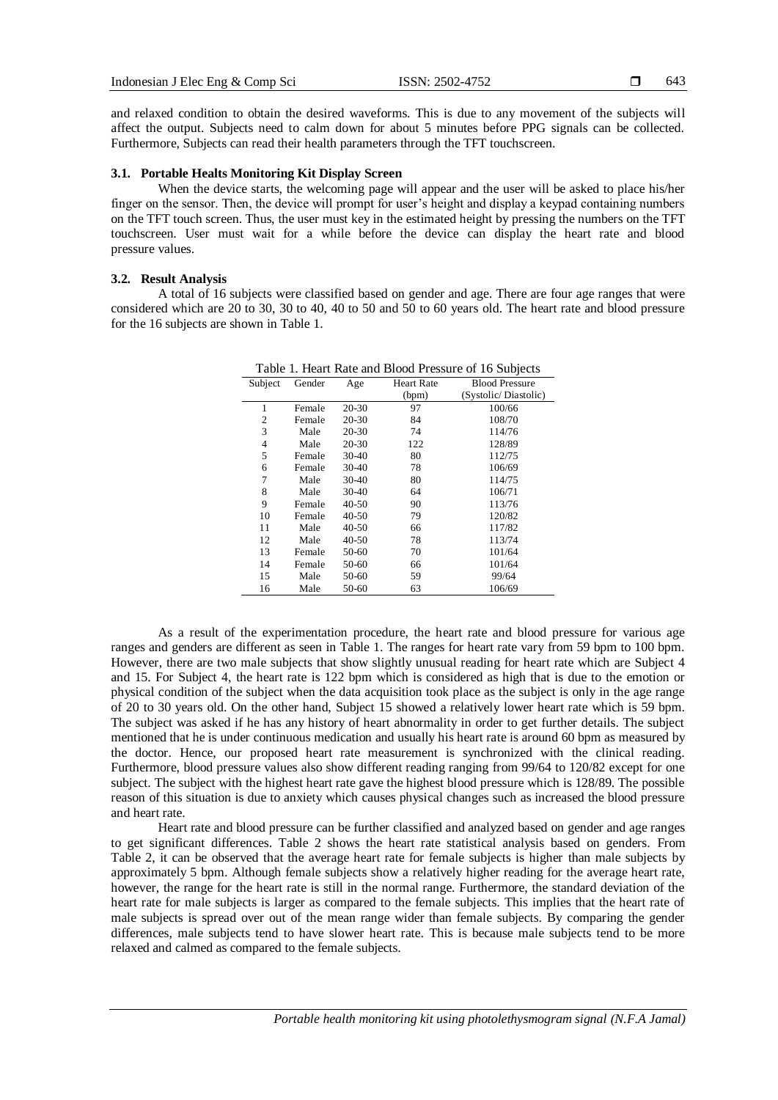and relaxed condition to obtain the desired waveforms. This is due to any movement of the subjects will affect the output. Subjects need to calm down for about 5 minutes before PPG signals can be collected. Furthermore, Subjects can read their health parameters through the TFT touchscreen.

## **3.1. Portable Healts Monitoring Kit Display Screen**

When the device starts, the welcoming page will appear and the user will be asked to place his/her finger on the sensor. Then, the device will prompt for user's height and display a keypad containing numbers on the TFT touch screen. Thus, the user must key in the estimated height by pressing the numbers on the TFT touchscreen. User must wait for a while before the device can display the heart rate and blood pressure values.

## **3.2. Result Analysis**

A total of 16 subjects were classified based on gender and age. There are four age ranges that were considered which are 20 to 30, 30 to 40, 40 to 50 and 50 to 60 years old. The heart rate and blood pressure for the 16 subjects are shown in Table 1.

| Subject | Gender | Age       | <b>Heart Rate</b><br>(bpm) | <b>Blood Pressure</b><br>(Systolic/Diastolic) |
|---------|--------|-----------|----------------------------|-----------------------------------------------|
| 1       | Female | 20-30     | 97                         | 100/66                                        |
| 2       | Female | 20-30     | 84                         | 108/70                                        |
| 3       | Male   | 20-30     | 74                         | 114/76                                        |
| 4       | Male   | 20-30     | 122                        | 128/89                                        |
| 5       | Female | $30-40$   | 80                         | 112/75                                        |
| 6       | Female | 30-40     | 78                         | 106/69                                        |
| 7       | Male   | 30-40     | 80                         | 114/75                                        |
| 8       | Male   | 30-40     | 64                         | 106/71                                        |
| 9       | Female | $40 - 50$ | 90                         | 113/76                                        |
| 10      | Female | 40-50     | 79                         | 120/82                                        |
| 11      | Male   | $40 - 50$ | 66                         | 117/82                                        |
| 12      | Male   | $40 - 50$ | 78                         | 113/74                                        |
| 13      | Female | 50-60     | 70                         | 101/64                                        |
| 14      | Female | 50-60     | 66                         | 101/64                                        |
| 15      | Male   | 50-60     | 59                         | 99/64                                         |
| 16      | Male   | 50-60     | 63                         | 106/69                                        |

Table 1. Heart Rate and Blood Pressure of 16 Subjects

As a result of the experimentation procedure, the heart rate and blood pressure for various age ranges and genders are different as seen in Table 1. The ranges for heart rate vary from 59 bpm to 100 bpm. However, there are two male subjects that show slightly unusual reading for heart rate which are Subject 4 and 15. For Subject 4, the heart rate is 122 bpm which is considered as high that is due to the emotion or physical condition of the subject when the data acquisition took place as the subject is only in the age range of 20 to 30 years old. On the other hand, Subject 15 showed a relatively lower heart rate which is 59 bpm. The subject was asked if he has any history of heart abnormality in order to get further details. The subject mentioned that he is under continuous medication and usually his heart rate is around 60 bpm as measured by the doctor. Hence, our proposed heart rate measurement is synchronized with the clinical reading. Furthermore, blood pressure values also show different reading ranging from 99/64 to 120/82 except for one subject. The subject with the highest heart rate gave the highest blood pressure which is 128/89. The possible reason of this situation is due to anxiety which causes physical changes such as increased the blood pressure and heart rate.

Heart rate and blood pressure can be further classified and analyzed based on gender and age ranges to get significant differences. Table 2 shows the heart rate statistical analysis based on genders. From Table 2, it can be observed that the average heart rate for female subjects is higher than male subjects by approximately 5 bpm. Although female subjects show a relatively higher reading for the average heart rate, however, the range for the heart rate is still in the normal range. Furthermore, the standard deviation of the heart rate for male subjects is larger as compared to the female subjects. This implies that the heart rate of male subjects is spread over out of the mean range wider than female subjects. By comparing the gender differences, male subjects tend to have slower heart rate. This is because male subjects tend to be more relaxed and calmed as compared to the female subjects.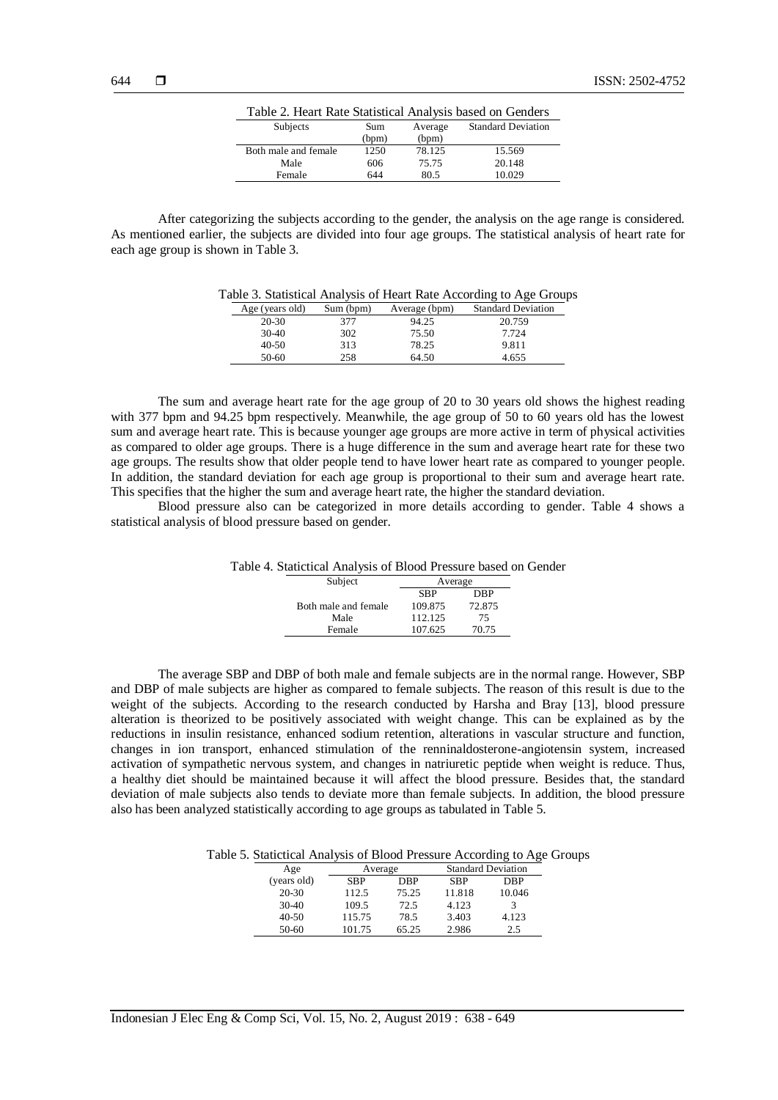| Table 2. Heart Rate Statistical Analysis based on Genders |       |         |                           |  |  |
|-----------------------------------------------------------|-------|---------|---------------------------|--|--|
| Subjects                                                  | Sum   | Average | <b>Standard Deviation</b> |  |  |
|                                                           | (bpm) | (bpm)   |                           |  |  |
| Both male and female                                      | 1250  | 78.125  | 15.569                    |  |  |
| Male                                                      | 606   | 75.75   | 20.148                    |  |  |
| Female                                                    | 644   | 80.5    | 10.029                    |  |  |

After categorizing the subjects according to the gender, the analysis on the age range is considered. As mentioned earlier, the subjects are divided into four age groups. The statistical analysis of heart rate for each age group is shown in Table 3.

Table 3. Statistical Analysis of Heart Rate According to Age Groups

| Age (years old) | Sum (bpm) | Average (bpm) | <b>Standard Deviation</b> |
|-----------------|-----------|---------------|---------------------------|
| $20 - 30$       | 377       | 94.25         | 20.759                    |
| $30-40$         | 302       | 75.50         | 7.724                     |
| $40 - 50$       | 313       | 78.25         | 9.811                     |
| $50-60$         | 258       | 64.50         | 4.655                     |

The sum and average heart rate for the age group of 20 to 30 years old shows the highest reading with 377 bpm and 94.25 bpm respectively. Meanwhile, the age group of 50 to 60 years old has the lowest sum and average heart rate. This is because younger age groups are more active in term of physical activities as compared to older age groups. There is a huge difference in the sum and average heart rate for these two age groups. The results show that older people tend to have lower heart rate as compared to younger people. In addition, the standard deviation for each age group is proportional to their sum and average heart rate. This specifies that the higher the sum and average heart rate, the higher the standard deviation.

Blood pressure also can be categorized in more details according to gender. Table 4 shows a statistical analysis of blood pressure based on gender.

| Table 4. Statictical Analysis of Blood Pressure based on Gender |            |        |  |
|-----------------------------------------------------------------|------------|--------|--|
| Subject                                                         | Average    |        |  |
|                                                                 | <b>SBP</b> | DBP    |  |
| Both male and female                                            | 109.875    | 72.875 |  |
| Male                                                            | 112.125    | 75     |  |
| Female                                                          | 107.625    | 70.75  |  |

The average SBP and DBP of both male and female subjects are in the normal range. However, SBP and DBP of male subjects are higher as compared to female subjects. The reason of this result is due to the weight of the subjects. According to the research conducted by Harsha and Bray [13], blood pressure alteration is theorized to be positively associated with weight change. This can be explained as by the reductions in insulin resistance, enhanced sodium retention, alterations in vascular structure and function, changes in ion transport, enhanced stimulation of the renninaldosterone-angiotensin system, increased activation of sympathetic nervous system, and changes in natriuretic peptide when weight is reduce. Thus, a healthy diet should be maintained because it will affect the blood pressure. Besides that, the standard deviation of male subjects also tends to deviate more than female subjects. In addition, the blood pressure also has been analyzed statistically according to age groups as tabulated in Table 5.

Table 5. Statictical Analysis of Blood Pressure According to Age Groups

| Age         | Average |       | <b>Standard Deviation</b> |        |
|-------------|---------|-------|---------------------------|--------|
| (years old) | SBP     | DBP   | <b>SBP</b>                | DBP    |
| $20-30$     | 112.5   | 75.25 | 11.818                    | 10.046 |
| $30-40$     | 109.5   | 72.5  | 4.123                     |        |
| $40 - 50$   | 115.75  | 78.5  | 3.403                     | 4.123  |
| 50-60       | 101.75  | 65.25 | 2.986                     | 2.5    |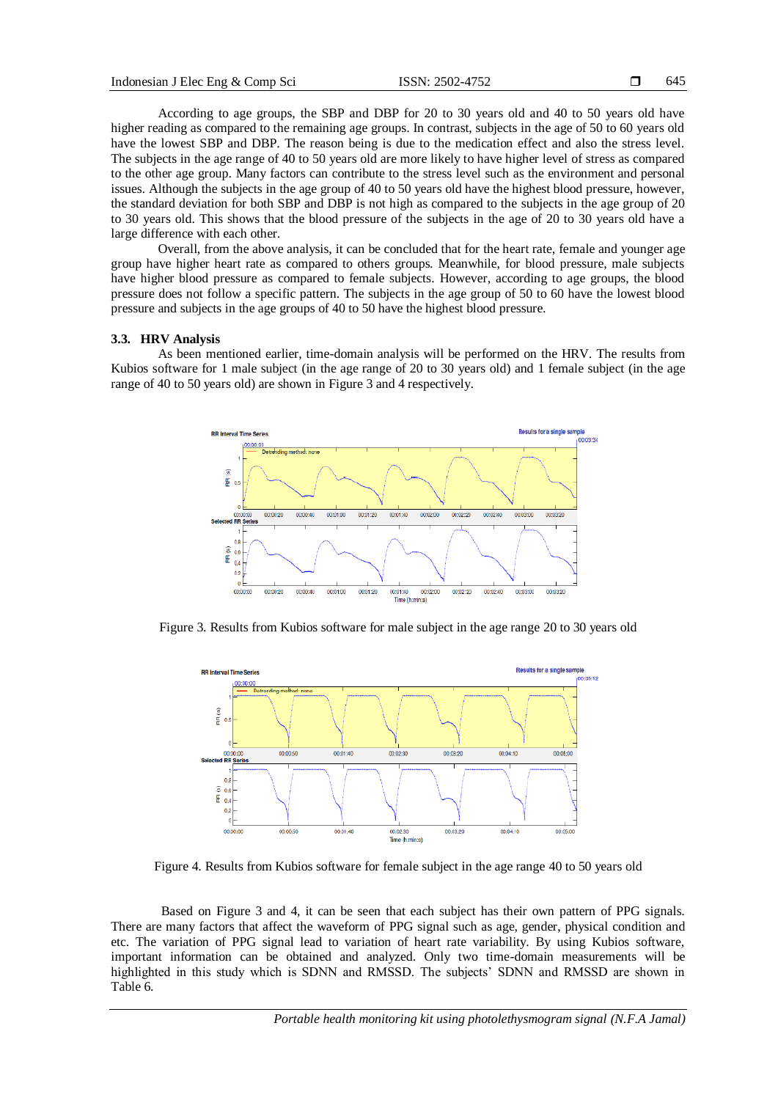According to age groups, the SBP and DBP for 20 to 30 years old and 40 to 50 years old have higher reading as compared to the remaining age groups. In contrast, subjects in the age of 50 to 60 years old have the lowest SBP and DBP. The reason being is due to the medication effect and also the stress level. The subjects in the age range of 40 to 50 years old are more likely to have higher level of stress as compared to the other age group. Many factors can contribute to the stress level such as the environment and personal issues. Although the subjects in the age group of 40 to 50 years old have the highest blood pressure, however, the standard deviation for both SBP and DBP is not high as compared to the subjects in the age group of 20 to 30 years old. This shows that the blood pressure of the subjects in the age of 20 to 30 years old have a large difference with each other.

Overall, from the above analysis, it can be concluded that for the heart rate, female and younger age group have higher heart rate as compared to others groups. Meanwhile, for blood pressure, male subjects have higher blood pressure as compared to female subjects. However, according to age groups, the blood pressure does not follow a specific pattern. The subjects in the age group of 50 to 60 have the lowest blood pressure and subjects in the age groups of 40 to 50 have the highest blood pressure.

## **3.3. HRV Analysis**

As been mentioned earlier, time-domain analysis will be performed on the HRV. The results from Kubios software for 1 male subject (in the age range of 20 to 30 years old) and 1 female subject (in the age range of 40 to 50 years old) are shown in Figure 3 and 4 respectively.



Figure 3. Results from Kubios software for male subject in the age range 20 to 30 years old



Figure 4. Results from Kubios software for female subject in the age range 40 to 50 years old

Based on Figure 3 and 4, it can be seen that each subject has their own pattern of PPG signals. There are many factors that affect the waveform of PPG signal such as age, gender, physical condition and etc. The variation of PPG signal lead to variation of heart rate variability. By using Kubios software, important information can be obtained and analyzed. Only two time-domain measurements will be highlighted in this study which is SDNN and RMSSD. The subjects' SDNN and RMSSD are shown in Table 6.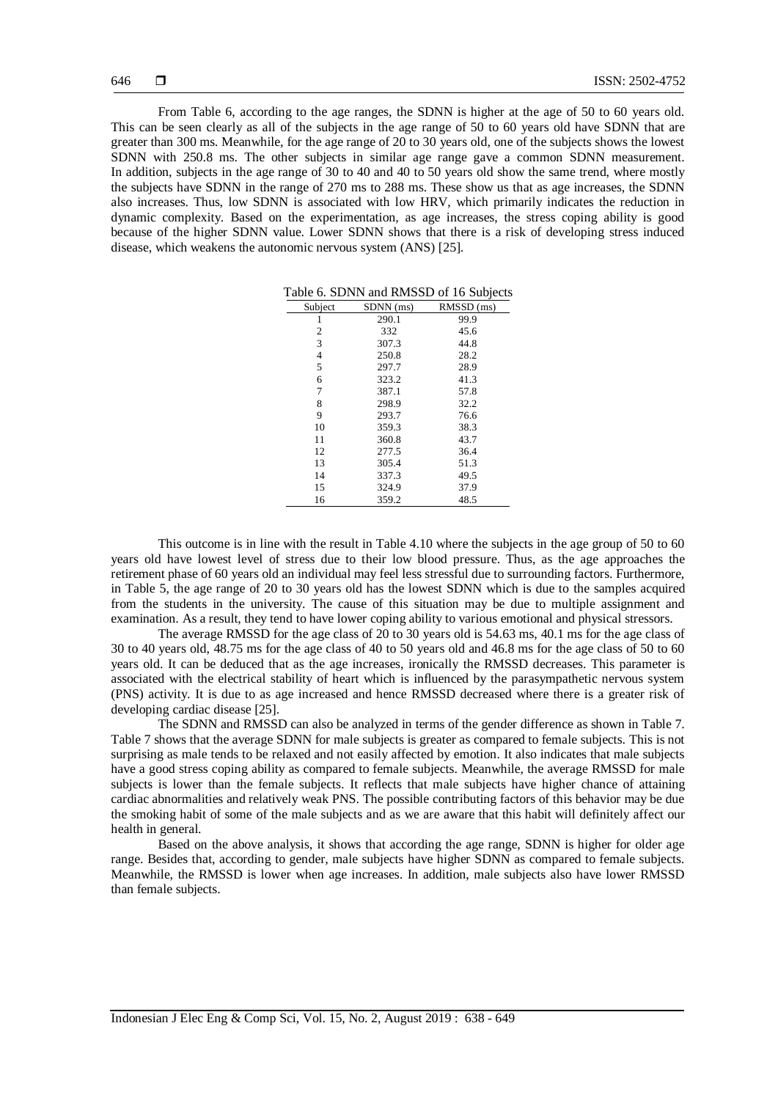From Table 6, according to the age ranges, the SDNN is higher at the age of 50 to 60 years old. This can be seen clearly as all of the subjects in the age range of 50 to 60 years old have SDNN that are greater than 300 ms. Meanwhile, for the age range of 20 to 30 years old, one of the subjects shows the lowest SDNN with 250.8 ms. The other subjects in similar age range gave a common SDNN measurement. In addition, subjects in the age range of 30 to 40 and 40 to 50 years old show the same trend, where mostly the subjects have SDNN in the range of 270 ms to 288 ms. These show us that as age increases, the SDNN also increases. Thus, low SDNN is associated with low HRV, which primarily indicates the reduction in dynamic complexity. Based on the experimentation, as age increases, the stress coping ability is good because of the higher SDNN value. Lower SDNN shows that there is a risk of developing stress induced disease, which weakens the autonomic nervous system (ANS) [25].

| Subject | SDNN (ms) | RMSSD (ms) |
|---------|-----------|------------|
| 1       | 290.1     | 99.9       |
| 2       | 332       | 45.6       |
| 3       | 307.3     | 44.8       |
| 4       | 250.8     | 28.2       |
| 5       | 297.7     | 28.9       |
| 6       | 323.2     | 41.3       |
| 7       | 387.1     | 57.8       |
| 8       | 298.9     | 32.2       |
| 9       | 293.7     | 76.6       |
| 10      | 359.3     | 38.3       |
| 11      | 360.8     | 43.7       |
| 12      | 277.5     | 36.4       |
| 13      | 305.4     | 51.3       |
| 14      | 337.3     | 49.5       |
| 15      | 324.9     | 37.9       |
| 16      | 359.2     | 48.5       |

Table 6. SDNN and RMSSD of 16 Subjects

This outcome is in line with the result in Table 4.10 where the subjects in the age group of 50 to 60 years old have lowest level of stress due to their low blood pressure. Thus, as the age approaches the retirement phase of 60 years old an individual may feel less stressful due to surrounding factors. Furthermore, in Table 5, the age range of 20 to 30 years old has the lowest SDNN which is due to the samples acquired from the students in the university. The cause of this situation may be due to multiple assignment and examination. As a result, they tend to have lower coping ability to various emotional and physical stressors.

The average RMSSD for the age class of 20 to 30 years old is 54.63 ms, 40.1 ms for the age class of 30 to 40 years old, 48.75 ms for the age class of 40 to 50 years old and 46.8 ms for the age class of 50 to 60 years old. It can be deduced that as the age increases, ironically the RMSSD decreases. This parameter is associated with the electrical stability of heart which is influenced by the parasympathetic nervous system (PNS) activity. It is due to as age increased and hence RMSSD decreased where there is a greater risk of developing cardiac disease [25].

The SDNN and RMSSD can also be analyzed in terms of the gender difference as shown in Table 7. Table 7 shows that the average SDNN for male subjects is greater as compared to female subjects. This is not surprising as male tends to be relaxed and not easily affected by emotion. It also indicates that male subjects have a good stress coping ability as compared to female subjects. Meanwhile, the average RMSSD for male subjects is lower than the female subjects. It reflects that male subjects have higher chance of attaining cardiac abnormalities and relatively weak PNS. The possible contributing factors of this behavior may be due the smoking habit of some of the male subjects and as we are aware that this habit will definitely affect our health in general.

Based on the above analysis, it shows that according the age range, SDNN is higher for older age range. Besides that, according to gender, male subjects have higher SDNN as compared to female subjects. Meanwhile, the RMSSD is lower when age increases. In addition, male subjects also have lower RMSSD than female subjects.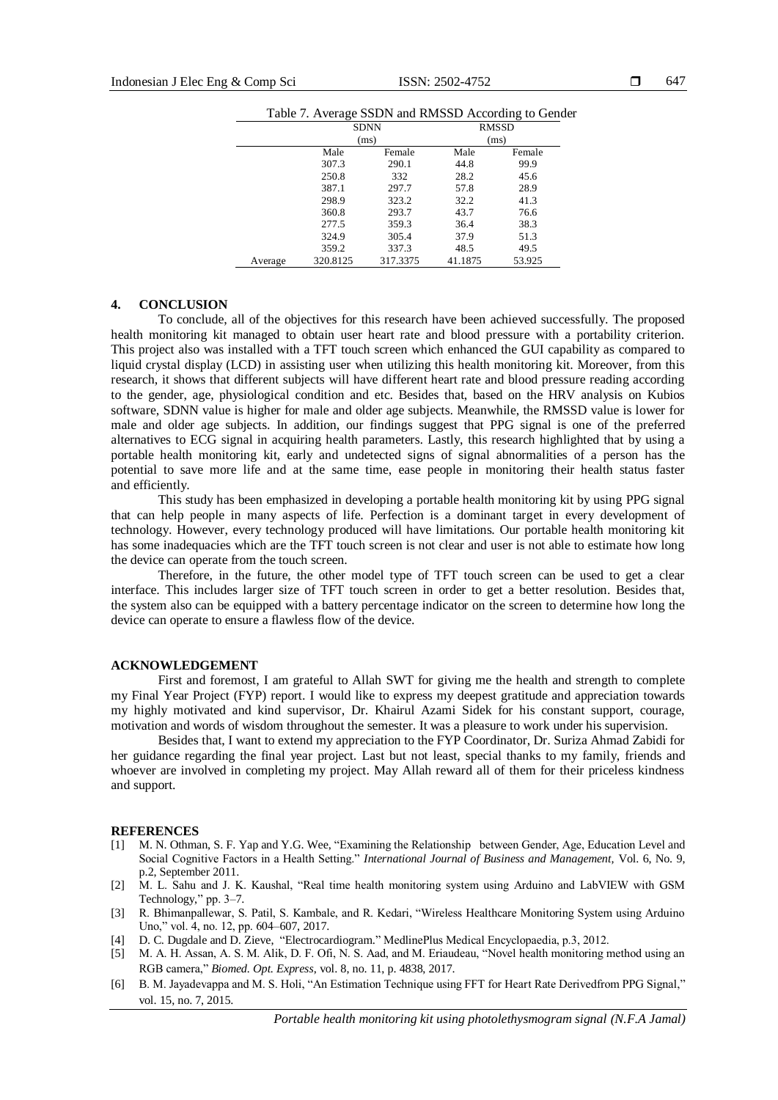|         |          | raone 7. Trenage SSDT and Kings D Trees and to Sena |         |              |  |
|---------|----------|-----------------------------------------------------|---------|--------------|--|
|         |          | <b>SDNN</b>                                         |         | <b>RMSSD</b> |  |
|         |          | (ms)                                                |         | (ms)         |  |
|         | Male     | Female                                              | Male    | Female       |  |
|         | 307.3    | 290.1                                               | 44.8    | 99.9         |  |
|         | 250.8    | 332                                                 | 28.2    | 45.6         |  |
|         | 387.1    | 297.7                                               | 57.8    | 28.9         |  |
|         | 298.9    | 323.2                                               | 32.2    | 41.3         |  |
|         | 360.8    | 293.7                                               | 43.7    | 76.6         |  |
|         | 277.5    | 359.3                                               | 36.4    | 38.3         |  |
|         | 324.9    | 305.4                                               | 37.9    | 51.3         |  |
|         | 359.2    | 337.3                                               | 48.5    | 49.5         |  |
| Average | 320.8125 | 317.3375                                            | 41.1875 | 53.925       |  |

#### **4. CONCLUSION**

To conclude, all of the objectives for this research have been achieved successfully. The proposed health monitoring kit managed to obtain user heart rate and blood pressure with a portability criterion. This project also was installed with a TFT touch screen which enhanced the GUI capability as compared to liquid crystal display (LCD) in assisting user when utilizing this health monitoring kit. Moreover, from this research, it shows that different subjects will have different heart rate and blood pressure reading according to the gender, age, physiological condition and etc. Besides that, based on the HRV analysis on Kubios software, SDNN value is higher for male and older age subjects. Meanwhile, the RMSSD value is lower for male and older age subjects. In addition, our findings suggest that PPG signal is one of the preferred alternatives to ECG signal in acquiring health parameters. Lastly, this research highlighted that by using a portable health monitoring kit, early and undetected signs of signal abnormalities of a person has the potential to save more life and at the same time, ease people in monitoring their health status faster and efficiently.

This study has been emphasized in developing a portable health monitoring kit by using PPG signal that can help people in many aspects of life. Perfection is a dominant target in every development of technology. However, every technology produced will have limitations. Our portable health monitoring kit has some inadequacies which are the TFT touch screen is not clear and user is not able to estimate how long the device can operate from the touch screen.

Therefore, in the future, the other model type of TFT touch screen can be used to get a clear interface. This includes larger size of TFT touch screen in order to get a better resolution. Besides that, the system also can be equipped with a battery percentage indicator on the screen to determine how long the device can operate to ensure a flawless flow of the device.

## **ACKNOWLEDGEMENT**

First and foremost, I am grateful to Allah SWT for giving me the health and strength to complete my Final Year Project (FYP) report. I would like to express my deepest gratitude and appreciation towards my highly motivated and kind supervisor, Dr. Khairul Azami Sidek for his constant support, courage, motivation and words of wisdom throughout the semester. It was a pleasure to work under his supervision.

Besides that, I want to extend my appreciation to the FYP Coordinator, Dr. Suriza Ahmad Zabidi for her guidance regarding the final year project. Last but not least, special thanks to my family, friends and whoever are involved in completing my project. May Allah reward all of them for their priceless kindness and support.

#### **REFERENCES**

- [1] M. N. Othman, S. F. Yap and Y.G. Wee, "Examining the Relationship between Gender, Age, Education Level and Social Cognitive Factors in a Health Setting." *International Journal of Business and Management,* Vol. 6, No. 9, p.2, September 2011.
- [2] M. L. Sahu and J. K. Kaushal, "Real time health monitoring system using Arduino and LabVIEW with GSM Technology," pp. 3–7.
- [3] R. Bhimanpallewar, S. Patil, S. Kambale, and R. Kedari, "Wireless Healthcare Monitoring System using Arduino Uno," vol. 4, no. 12, pp. 604–607, 2017.
- [4] D. C. Dugdale and D. Zieve, "Electrocardiogram." MedlinePlus Medical Encyclopaedia, p.3, 2012.
- [5] M. A. H. Assan, A. S. M. Alik, D. F. Ofi, N. S. Aad, and M. Eriaudeau, "Novel health monitoring method using an RGB camera," *Biomed. Opt. Express*, vol. 8, no. 11, p. 4838, 2017.
- [6] B. M. Jayadevappa and M. S. Holi, "An Estimation Technique using FFT for Heart Rate Derivedfrom PPG Signal," vol. 15, no. 7, 2015.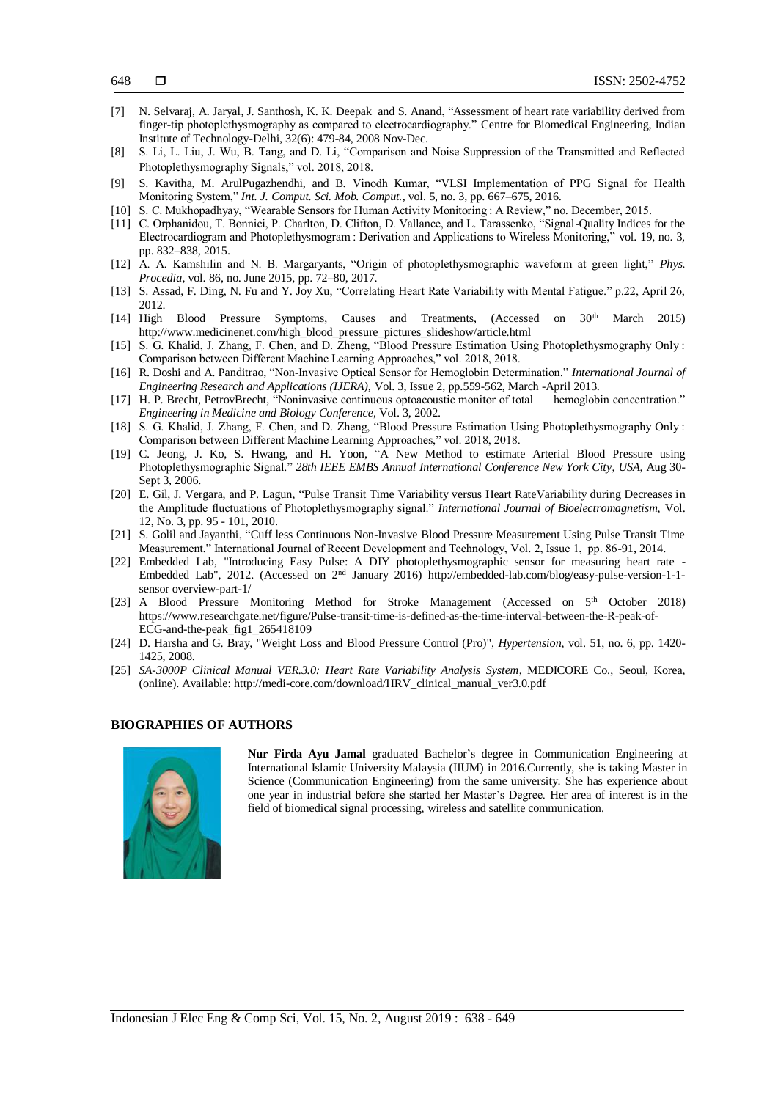- [7] N[. Selvaraj,](http://www.ncbi.nlm.nih.gov/pubmed/?term=Selvaraj%20N%5BAuthor%5D&cauthor=true&cauthor_uid=18663635) A. [Jaryal,](http://www.ncbi.nlm.nih.gov/pubmed/?term=Jaryal%20A%5BAuthor%5D&cauthor=true&cauthor_uid=18663635) J. Santhosh, K. K. Deepak and S. Anand, "Assessment of heart rate variability derived from finger-tip photoplethysmography as compared to electrocardiography." Centre for Biomedical Engineering, Indian Institute of Technology-Delhi, 32(6): 479-84, 2008 Nov-Dec.
- [8] S. Li, L. Liu, J. Wu, B. Tang, and D. Li, "Comparison and Noise Suppression of the Transmitted and Reflected Photoplethysmography Signals," vol. 2018, 2018.
- [9] S. Kavitha, M. ArulPugazhendhi, and B. Vinodh Kumar, "VLSI Implementation of PPG Signal for Health Monitoring System," *Int. J. Comput. Sci. Mob. Comput.*, vol. 5, no. 3, pp. 667–675, 2016.
- [10] S. C. Mukhopadhyay, "Wearable Sensors for Human Activity Monitoring : A Review," no. December, 2015.
- [11] C. Orphanidou, T. Bonnici, P. Charlton, D. Clifton, D. Vallance, and L. Tarassenko, "Signal-Quality Indices for the Electrocardiogram and Photoplethysmogram : Derivation and Applications to Wireless Monitoring," vol. 19, no. 3, pp. 832–838, 2015.
- [12] A. A. Kamshilin and N. B. Margaryants, "Origin of photoplethysmographic waveform at green light," *Phys. Procedia*, vol. 86, no. June 2015, pp. 72–80, 2017.
- [13] S. Assad, F. Ding, N. Fu and Y. Joy Xu, "Correlating Heart Rate Variability with Mental Fatigue." p.22, April 26, 2012.
- [14] High Blood Pressure Symptoms, Causes and Treatments, (Accessed on 30<sup>th</sup> March 2015) [http://www.medicinenet.com/high\\_blood\\_pressure\\_pictures\\_slideshow/article.html](http://www.medicinenet.com/high_blood_pressure_pictures_slideshow/article.html)
- [15] S. G. Khalid, J. Zhang, F. Chen, and D. Zheng, "Blood Pressure Estimation Using Photoplethysmography Only: Comparison between Different Machine Learning Approaches," vol. 2018, 2018.
- [16] R. Doshi and A. Panditrao, "Non-Invasive Optical Sensor for Hemoglobin Determination." *International Journal of Engineering Research and Applications (IJERA),* Vol. 3, Issue 2, pp.559-562, March -April 2013.
- [17] H. P. Brecht, PetrovBrecht, "Noninvasive continuous optoacoustic monitor of total hemoglobin concentration." *Engineering in Medicine and Biology Conference*, Vol. 3, 2002.
- [18] S. G. Khalid, J. Zhang, F. Chen, and D. Zheng, "Blood Pressure Estimation Using Photoplethysmography Only: Comparison between Different Machine Learning Approaches," vol. 2018, 2018.
- [19] C. Jeong, J. Ko, S. Hwang, and H. Yoon, "A New Method to estimate Arterial Blood Pressure using Photoplethysmographic Signal." *28th IEEE EMBS Annual International Conference New York City*, *USA*, Aug 30- Sept 3, 2006.
- [20] E. Gil, J. Vergara, and P. Lagun, "Pulse Transit Time Variability versus Heart RateVariability during Decreases in the Amplitude fluctuations of Photoplethysmography signal." *International Journal of Bioelectromagnetism,* Vol. 12, No. 3, pp. 95 - 101, 2010.
- [21] S. Golil and Jayanthi, "Cuff less Continuous Non-Invasive Blood Pressure Measurement Using Pulse Transit Time Measurement." International Journal of Recent Development and Technology, Vol. 2, Issue 1, pp. 86-91, 2014.
- [22] Embedded Lab, "Introducing Easy Pulse: A DIY photoplethysmographic sensor for measuring heart rate Embedded Lab", 2012. (Accessed on 2nd January 2016) http://embedded-lab.com/blog/easy-pulse-version-1-1 sensor overview-part-1/
- [23] A Blood Pressure Monitoring Method for Stroke [Management](https://www.researchgate.net/publication/265418109_A_Blood_Pressure_Monitoring_Method_for_Stroke_Management?_sg=4V2KIXERJx2Ph2PZC6zAWL7WhBxQ0clTlZpeIWMaUdqC_aGscDlhKHlW6JBeekumFVRu9e2zIvAfLz09ouuEqsvxLsp5Ro3zLA) (Accessed on 5<sup>th</sup> October 2018) https://www.researchgate.net/figure/Pulse-transit-time-is-defined-as-the-time-interval-between-the-R-peak-of-ECG-and-the-peak\_fig1\_265418109
- [24] D. Harsha and G. Bray, "Weight Loss and Blood Pressure Control (Pro)", *Hypertension*, vol. 51, no. 6, pp. 1420- 1425, 2008.
- [25] *SA-3000P Clinical Manual VER.3.0: Heart Rate Variability Analysis System*, MEDICORE Co., Seoul, Korea, (online). Available: [http://medi-core.com/download/HRV\\_clinical\\_manual\\_ver3.0.pdf](http://medi-core.com/download/HRV_clinical_manual_ver3.0.pdf)

## **BIOGRAPHIES OF AUTHORS**



**Nur Firda Ayu Jamal** graduated Bachelor's degree in Communication Engineering at International Islamic University Malaysia (IIUM) in 2016.Currently, she is taking Master in Science (Communication Engineering) from the same university. She has experience about one year in industrial before she started her Master's Degree. Her area of interest is in the field of biomedical signal processing, wireless and satellite communication.